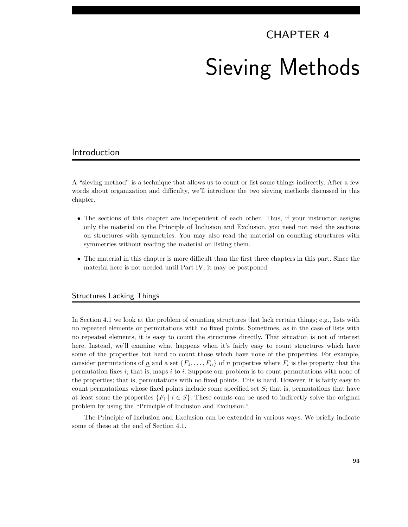# CHAPTER 4 Sieving Methods

# Introduction

A "sieving method" is a technique that allows us to count or list some things indirectly. After a few words about organization and difficulty, we'll introduce the two sieving methods discussed in this chapter.

- The sections of this chapter are independent of each other. Thus, if your instructor assigns only the material on the Principle of Inclusion and Exclusion, you need not read the sections on structures with symmetries. You may also read the material on counting structures with symmetries without reading the material on listing them.
- The material in this chapter is more difficult than the first three chapters in this part. Since the material here is not needed until Part IV, it may be postponed.

## Structures Lacking Things

In Section 4.1 we look at the problem of counting structures that lack certain things; e.g., lists with no repeated elements or permutations with no fixed points. Sometimes, as in the case of lists with no repeated elements, it is easy to count the structures directly. That situation is not of interest here. Instead, we'll examine what happens when it's fairly easy to count structures which have some of the properties but hard to count those which have none of the properties. For example, consider permutations of  $\underline{n}$  and a set  $\{F_1, \ldots, F_n\}$  of n properties where  $F_i$  is the property that the permutation fixes i; that is, maps i to i. Suppose our problem is to count permutations with none of the properties; that is, permutations with no fixed points. This is hard. However, it is fairly easy to count permutations whose fixed points include some specified set  $S$ ; that is, permutations that have at least some the properties  $\{F_i \mid i \in S\}$ . These counts can be used to indirectly solve the original problem by using the "Principle of Inclusion and Exclusion."

The Principle of Inclusion and Exclusion can be extended in various ways. We briefly indicate some of these at the end of Section 4.1.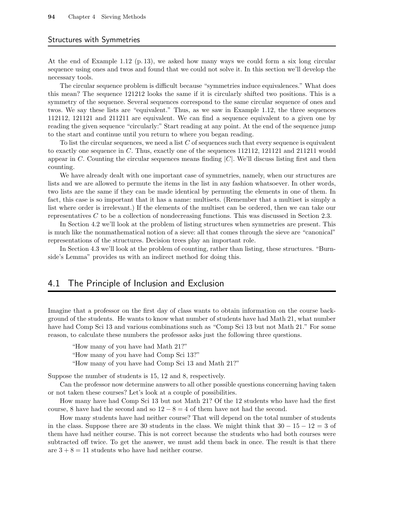## Structures with Symmetries

At the end of Example 1.12 (p. 13), we asked how many ways we could form a six long circular sequence using ones and twos and found that we could not solve it. In this section we'll develop the necessary tools.

The circular sequence problem is difficult because "symmetries induce equivalences." What does this mean? The sequence 121212 looks the same if it is circularly shifted two positions. This is a symmetry of the sequence. Several sequences correspond to the same circular sequence of ones and twos. We say these lists are "equivalent." Thus, as we saw in Example 1.12, the three sequences 112112, 121121 and 211211 are equivalent. We can find a sequence equivalent to a given one by reading the given sequence "circularly:" Start reading at any point. At the end of the sequence jump to the start and continue until you return to where you began reading.

To list the circular sequences, we need a list  $C$  of sequences such that every sequence is equivalent to exactly one sequence in C. Thus, exactly one of the sequences 112112, 121121 and 211211 would appear in C. Counting the circular sequences means finding  $|C|$ . We'll discuss listing first and then counting.

We have already dealt with one important case of symmetries, namely, when our structures are lists and we are allowed to permute the items in the list in any fashion whatsoever. In other words, two lists are the same if they can be made identical by permuting the elements in one of them. In fact, this case is so important that it has a name: multisets. (Remember that a multiset is simply a list where order is irrelevant.) If the elements of the multiset can be ordered, then we can take our representatives C to be a collection of nondecreasing functions. This was discussed in Section 2.3.

In Section 4.2 we'll look at the problem of listing structures when symmetries are present. This is much like the nonmathematical notion of a sieve: all that comes through the sieve are "canonical" representations of the structures. Decision trees play an important role.

In Section 4.3 we'll look at the problem of counting, rather than listing, these structures. "Burnside's Lemma" provides us with an indirect method for doing this.

# 4.1 The Principle of Inclusion and Exclusion

Imagine that a professor on the first day of class wants to obtain information on the course background of the students. He wants to know what number of students have had Math 21, what number have had Comp Sci 13 and various combinations such as "Comp Sci 13 but not Math 21." For some reason, to calculate these numbers the professor asks just the following three questions.

"How many of you have had Math 21?"

"How many of you have had Comp Sci 13?"

"How many of you have had Comp Sci 13 and Math 21?"

Suppose the number of students is 15, 12 and 8, respectively.

Can the professor now determine answers to all other possible questions concerning having taken or not taken these courses? Let's look at a couple of possibilities.

How many have had Comp Sci 13 but not Math 21? Of the 12 students who have had the first course, 8 have had the second and so  $12 - 8 = 4$  of them have not had the second.

How many students have had neither course? That will depend on the total number of students in the class. Suppose there are 30 students in the class. We might think that  $30 - 15 - 12 = 3$  of them have had neither course. This is not correct because the students who had both courses were subtracted off twice. To get the answer, we must add them back in once. The result is that there are  $3 + 8 = 11$  students who have had neither course.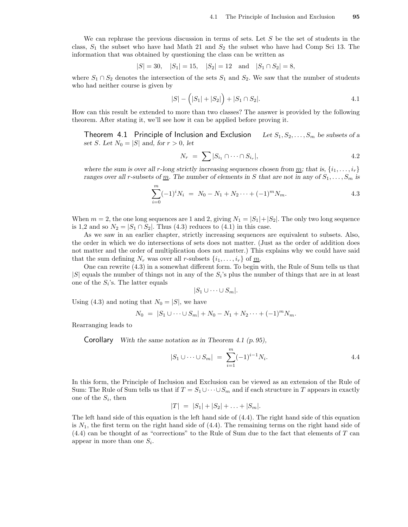We can rephrase the previous discussion in terms of sets. Let  $S$  be the set of students in the class,  $S_1$  the subset who have had Math 21 and  $S_2$  the subset who have had Comp Sci 13. The information that was obtained by questioning the class can be written as

$$
|S| = 30
$$
,  $|S_1| = 15$ ,  $|S_2| = 12$  and  $|S_1 \cap S_2| = 8$ ,

where  $S_1 \cap S_2$  denotes the intersection of the sets  $S_1$  and  $S_2$ . We saw that the number of students who had neither course is given by

$$
|S| - (|S_1| + |S_2|) + |S_1 \cap S_2|.
$$
 4.1

How can this result be extended to more than two classes? The answer is provided by the following theorem. After stating it, we'll see how it can be applied before proving it.

Theorem 4.1 Principle of Inclusion and Exclusion Let  $S_1, S_2, \ldots, S_m$  be subsets of a set S. Let  $N_0 = |S|$  and, for  $r > 0$ , let

$$
N_r = \sum |S_{i_1} \cap \dots \cap S_{i_r}|, \qquad (4.2)
$$

where the sum is over all r-long strictly increasing sequences chosen from  $\underline{m}$ ; that is,  $\{i_1, \ldots, i_r\}$ ranges over all r-subsets of <u>m</u>. The number of elements in S that are not in any of  $S_1, \ldots, S_m$  is

$$
\sum_{i=0}^{m} (-1)^{i} N_{i} = N_{0} - N_{1} + N_{2} \cdots + (-1)^{m} N_{m}.
$$

When  $m = 2$ , the one long sequences are 1 and 2, giving  $N_1 = |S_1| + |S_2|$ . The only two long sequence is 1,2 and so  $N_2 = |S_1 \cap S_2|$ . Thus (4.3) reduces to (4.1) in this case.

As we saw in an earlier chapter, strictly increasing sequences are equivalent to subsets. Also, the order in which we do intersections of sets does not matter. (Just as the order of addition does not matter and the order of multiplication does not matter.) This explains why we could have said that the sum defining  $N_r$  was over all r-subsets  $\{i_1, \ldots, i_r\}$  of  $\underline{m}$ .

One can rewrite (4.3) in a somewhat different form. To begin with, the Rule of Sum tells us that  $|S|$  equals the number of things not in any of the  $S_i$ 's plus the number of things that are in at least one of the  $S_i$ 's. The latter equals

$$
|S_1 \cup \cdots \cup S_m|.
$$

Using (4.3) and noting that  $N_0 = |S|$ , we have

$$
N_0 = |S_1 \cup \cdots \cup S_m| + N_0 - N_1 + N_2 \cdots + (-1)^m N_m.
$$

Rearranging leads to

Corollary With the same notation as in Theorem 4.1 (p. 95),

$$
|S_1 \cup \dots \cup S_m| = \sum_{i=1}^m (-1)^{i-1} N_i.
$$

In this form, the Principle of Inclusion and Exclusion can be viewed as an extension of the Rule of Sum: The Rule of Sum tells us that if  $T = S_1 \cup \cdots \cup S_m$  and if each structure in T appears in exactly one of the  $S_i$ , then

$$
|T| = |S_1| + |S_2| + \ldots + |S_m|.
$$

The left hand side of this equation is the left hand side of (4.4). The right hand side of this equation is  $N_1$ , the first term on the right hand side of  $(4.4)$ . The remaining terms on the right hand side of (4.4) can be thought of as "corrections" to the Rule of Sum due to the fact that elements of T can appear in more than one  $S_i$ .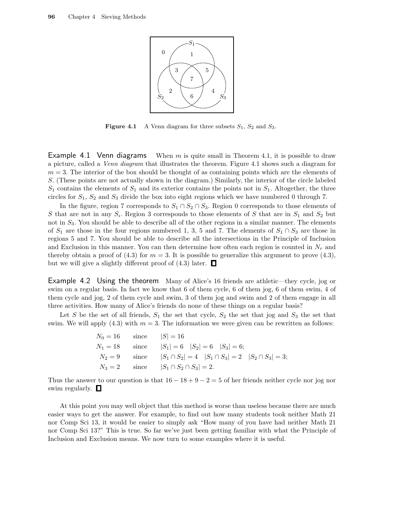

**Figure 4.1** A Venn diagram for three subsets  $S_1$ ,  $S_2$  and  $S_3$ .

**Example 4.1 Venn diagrams** When m is quite small in Theorem 4.1, it is possible to draw a picture, called a Venn diagram that illustrates the theorem. Figure 4.1 shows such a diagram for  $m = 3$ . The interior of the box should be thought of as containing points which are the elements of S. (These points are not actually shown in the diagram.) Similarly, the interior of the circle labeled  $S_1$  contains the elements of  $S_1$  and its exterior contains the points not in  $S_1$ . Altogether, the three circles for  $S_1$ ,  $S_2$  and  $S_3$  divide the box into eight regions which we have numbered 0 through 7.

In the figure, region 7 corresponds to  $S_1 \cap S_2 \cap S_3$ . Region 0 corresponds to those elements of S that are not in any  $S_i$ . Region 3 corresponds to those elements of S that are in  $S_1$  and  $S_2$  but not in  $S_3$ . You should be able to describe all of the other regions in a similar manner. The elements of  $S_1$  are those in the four regions numbered 1, 3, 5 and 7. The elements of  $S_1 \cap S_3$  are those in regions 5 and 7. You should be able to describe all the intersections in the Principle of Inclusion and Exclusion in this manner. You can then determine how often each region is counted in  $N_r$  and thereby obtain a proof of (4.3) for  $m = 3$ . It is possible to generalize this argument to prove (4.3), but we will give a slightly different proof of  $(4.3)$  later.

Example 4.2 Using the theorem Many of Alice's 16 friends are athletic—they cycle, jog or swim on a regular basis. In fact we know that 6 of them cycle, 6 of them jog, 6 of them swim, 4 of them cycle and jog, 2 of them cycle and swim, 3 of them jog and swim and 2 of them engage in all three activities. How many of Alice's friends do none of these things on a regular basis?

Let S be the set of all friends,  $S_1$  the set that cycle,  $S_2$  the set that jog and  $S_3$  the set that swim. We will apply  $(4.3)$  with  $m = 3$ . The information we were given can be rewritten as follows:

|  | $N_0 = 16$ since $ S  = 16$                                                     |
|--|---------------------------------------------------------------------------------|
|  | $N_1 = 18$ since $ S_1  = 6$ $ S_2  = 6$ $ S_3  = 6$ ;                          |
|  | $N_2 = 9$ since $ S_1 \cap S_2  = 4$ $ S_1 \cap S_3  = 2$ $ S_2 \cap S_3  = 3;$ |
|  | $N_3 = 2$ since $ S_1 \cap S_2 \cap S_3  = 2$ .                                 |

Thus the answer to our question is that  $16 - 18 + 9 - 2 = 5$  of her friends neither cycle nor jog nor swim regularly.  $\square$ 

At this point you may well object that this method is worse than useless because there are much easier ways to get the answer. For example, to find out how many students took neither Math 21 nor Comp Sci 13, it would be easier to simply ask "How many of you have had neither Math 21 nor Comp Sci 13?" This is true. So far we've just been getting familiar with what the Principle of Inclusion and Exclusion means. We now turn to some examples where it is useful.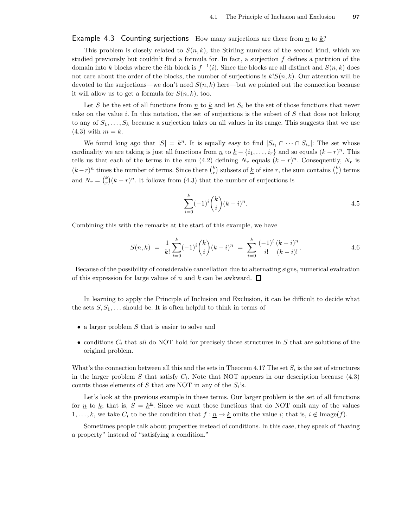## Example 4.3 Counting surjections How many surjections are there from  $\underline{n}$  to  $\underline{k}$ ?

This problem is closely related to  $S(n, k)$ , the Stirling numbers of the second kind, which we studied previously but couldn't find a formula for. In fact, a surjection  $f$  defines a partition of the domain into k blocks where the *i*th block is  $f^{-1}(i)$ . Since the blocks are all distinct and  $S(n, k)$  does not care about the order of the blocks, the number of surjections is  $k!S(n, k)$ . Our attention will be devoted to the surjections—we don't need  $S(n, k)$  here—but we pointed out the connection because it will allow us to get a formula for  $S(n, k)$ , too.

Let S be the set of all functions from  $\underline{n}$  to  $\underline{k}$  and let  $S_i$  be the set of those functions that never take on the value i. In this notation, the set of surjections is the subset of  $S$  that does not belong to any of  $S_1, \ldots, S_k$  because a surjection takes on all values in its range. This suggests that we use  $(4.3)$  with  $m = k$ .

We found long ago that  $|S| = k^n$ . It is equally easy to find  $|S_{i_1} \cap \cdots \cap S_{i_r}|$ : The set whose cardinality we are taking is just all functions from  $\underline{n}$  to  $\underline{k} - \{i_1, \ldots, i_r\}$  and so equals  $(k - r)^n$ . This tells us that each of the terms in the sum (4.2) defining  $N_r$  equals  $(k - r)^n$ . Consequently,  $N_r$  is  $(k-r)^n$  times the number of terms. Since there  $\binom{k}{r}$  subsets of  $\underline{k}$  of size r, the sum contains  $\binom{k}{r}$  terms and  $N_r = {k \choose r} (k - r)^n$ . It follows from (4.3) that the number of surjections is

$$
\sum_{i=0}^{k} (-1)^{i} {k \choose i} (k-i)^{n}.
$$
 4.5

Combining this with the remarks at the start of this example, we have

$$
S(n,k) = \frac{1}{k!} \sum_{i=0}^{k} (-1)^{i} {k \choose i} (k-i)^{n} = \sum_{i=0}^{k} \frac{(-1)^{i}}{i!} \frac{(k-i)^{n}}{(k-i)!}.
$$
4.6

Because of the possibility of considerable cancellation due to alternating signs, numerical evaluation of this expression for large values of n and k can be awkward.  $\Box$ 

In learning to apply the Principle of Inclusion and Exclusion, it can be difficult to decide what the sets  $S, S_1, \ldots$  should be. It is often helpful to think in terms of

- a larger problem  $S$  that is easier to solve and
- conditions  $C_i$  that all do NOT hold for precisely those structures in S that are solutions of the original problem.

What's the connection between all this and the sets in Theorem 4.1? The set  $S_i$  is the set of structures in the larger problem S that satisfy  $C_i$ . Note that NOT appears in our description because (4.3) counts those elements of S that are NOT in any of the  $S_i$ 's.

Let's look at the previous example in these terms. Our larger problem is the set of all functions for  $\underline{n}$  to  $\underline{k}$ ; that is,  $S = \underline{k}^{\underline{n}}$ . Since we want those functions that do NOT omit any of the values 1,..., k, we take  $C_i$  to be the condition that  $f: \underline{n} \to \underline{k}$  omits the value i; that is,  $i \notin \text{Image}(f)$ .

Sometimes people talk about properties instead of conditions. In this case, they speak of "having a property" instead of "satisfying a condition."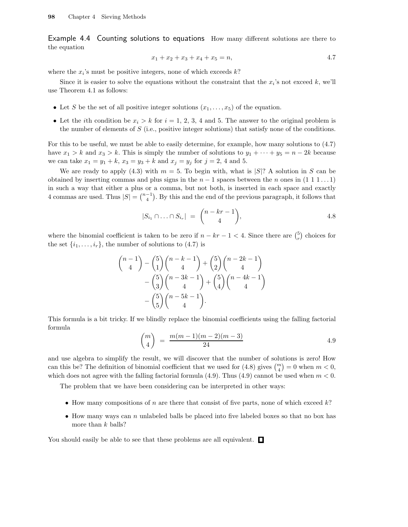Example 4.4 Counting solutions to equations How many different solutions are there to the equation

$$
x_1 + x_2 + x_3 + x_4 + x_5 = n, \t\t 4.7
$$

where the  $x_i$ 's must be positive integers, none of which exceeds  $k$ ?

Since it is easier to solve the equations without the constraint that the  $x_i$ 's not exceed k, we'll use Theorem 4.1 as follows:

- Let S be the set of all positive integer solutions  $(x_1, \ldots, x_5)$  of the equation.
- Let the *i*th condition be  $x_i > k$  for  $i = 1, 2, 3, 4$  and 5. The answer to the original problem is the number of elements of  $S$  (i.e., positive integer solutions) that satisfy none of the conditions.

For this to be useful, we must be able to easily determine, for example, how many solutions to (4.7) have  $x_1 > k$  and  $x_3 > k$ . This is simply the number of solutions to  $y_1 + \cdots + y_5 = n - 2k$  because we can take  $x_1 = y_1 + k$ ,  $x_3 = y_3 + k$  and  $x_j = y_j$  for  $j = 2, 4$  and 5.

We are ready to apply (4.3) with  $m = 5$ . To begin with, what is |S|? A solution in S can be obtained by inserting commas and plus signs in the  $n-1$  spaces between the n ones in  $(1\ 1\ 1\ \ldots)$ in such a way that either a plus or a comma, but not both, is inserted in each space and exactly 4 commas are used. Thus  $|S| = \binom{n-1}{4}$ . By this and the end of the previous paragraph, it follows that

$$
|S_{i_1} \cap \ldots \cap S_{i_r}| = {n - kr - 1 \choose 4}, \qquad \qquad 4.8
$$

where the binomial coefficient is taken to be zero if  $n - kr - 1 < 4$ . Since there are  $\binom{5}{r}$  choices for the set  $\{i_1, \ldots, i_r\}$ , the number of solutions to  $(4.7)$  is

$$
\binom{n-1}{4} - \binom{5}{1} \binom{n-k-1}{4} + \binom{5}{2} \binom{n-2k-1}{4} - \binom{5}{3} \binom{n-3k-1}{4} + \binom{5}{4} \binom{n-4k-1}{4} - \binom{5}{5} \binom{n-5k-1}{4}.
$$

This formula is a bit tricky. If we blindly replace the binomial coefficients using the falling factorial formula

$$
\binom{m}{4} = \frac{m(m-1)(m-2)(m-3)}{24} \tag{4.9}
$$

and use algebra to simplify the result, we will discover that the number of solutions is zero! How can this be? The definition of binomial coefficient that we used for (4.8) gives  $\binom{m}{4} = 0$  when  $m < 0$ , which does not agree with the falling factorial formula (4.9). Thus (4.9) cannot be used when  $m < 0$ .

The problem that we have been considering can be interpreted in other ways:

- How many compositions of n are there that consist of five parts, none of which exceed  $k$ ?
- How many ways can n unlabeled balls be placed into five labeled boxes so that no box has more than  $k$  balls?

You should easily be able to see that these problems are all equivalent.  $\Box$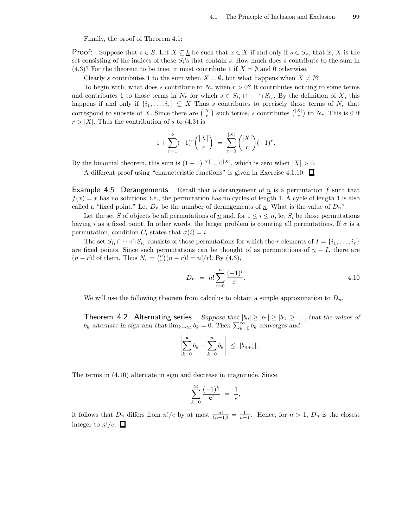Finally, the proof of Theorem 4.1:

**Proof:** Suppose that  $s \in S$ . Let  $X \subseteq \underline{k}$  be such that  $x \in X$  if and only if  $s \in S_x$ ; that is, X is the set consisting of the indices of those  $S_i$ 's that contain s. How much does s contribute to the sum in (4.3)? For the theorem to be true, it must contribute 1 if  $X = \emptyset$  and 0 otherwise.

Clearly s contributes 1 to the sum when  $X = \emptyset$ , but what happens when  $X \neq \emptyset$ ?

To begin with, what does s contribute to  $N_r$  when  $r > 0$ ? It contributes nothing to some terms and contributes 1 to those terms in  $N_r$  for which  $s \in S_{i_1} \cap \cdots \cap S_{i_r}$ . By the definition of X, this happens if and only if  $\{i_1, \ldots, i_r\} \subseteq X$  Thus s contributes to precisely those terms of  $N_r$  that correspond to subsets of X. Since there are  $\binom{|X|}{r}$  such terms, s contributes  $\binom{|X|}{r}$  to  $N_r$ . This is 0 if  $r > |X|$ . Thus the contribution of s to (4.3) is

$$
1 + \sum_{r=1}^{k} (-1)^r \binom{|X|}{r} \ = \ \sum_{r=0}^{|X|} \binom{|X|}{r} (-1)^r.
$$

By the binomial theorem, this sum is  $(1-1)^{|X|} = 0^{|X|}$ , which is zero when  $|X| > 0$ .

A different proof using "characteristic functions" is given in Exercise 4.1.10.  $\Box$ 

Example 4.5 Derangements Recall that a derangement of  $n$  is a permutation f such that  $f(x) = x$  has no solutions; i.e., the permutation has no cycles of length 1. A cycle of length 1 is also called a "fixed point." Let  $D_n$  be the number of derangements of  $n$ . What is the value of  $D_n$ ?

Let the set S of objects be all permutations of  $\underline{n}$  and, for  $1 \leq i \leq n$ , let  $S_i$  be those permutations having i as a fixed point. In other words, the larger problem is counting all permutations. If  $\sigma$  is a permutation, condition  $C_i$  states that  $\sigma(i) = i$ .

The set  $S_{i_1} \cap \cdots \cap S_{i_r}$  consists of those permutations for which the r elements of  $I = \{i_1, \ldots, i_r\}$ are fixed points. Since such permutations can be thought of as permutations of  $\underline{n} - I$ , there are  $(n - r)!$  of them. Thus  $N_r = {n \choose r}(n - r)! = n!/r!$ . By (4.3),

$$
D_n = n! \sum_{i=0}^{n} \frac{(-1)^i}{i!}.
$$

We will use the following theorem from calculus to obtain a simple approximation to  $D_n$ .

Theorem 4.2 Alternating series Suppose that  $|b_0| \ge |b_1| \ge |b_2| \ge \ldots$ , that the values of  $b_k$  alternate in sign and that  $\lim_{k\to\infty} b_k = 0$ . Then  $\sum_{k=0}^{\infty} b_k$  converges and

$$
\left|\sum_{k=0}^{\infty}b_k-\sum_{k=0}^n b_k\right| \leq |b_{n+1}|.
$$

The terms in (4.10) alternate in sign and decrease in magnitude. Since

$$
\sum_{k=0}^{\infty} \frac{(-1)^k}{k!} = \frac{1}{e},
$$

it follows that  $D_n$  differs from  $n!/e$  by at most  $\frac{n!}{(n+1)!} = \frac{1}{n+1}$ . Hence, for  $n > 1$ ,  $D_n$  is the closest integer to  $n!/e$ .  $\Box$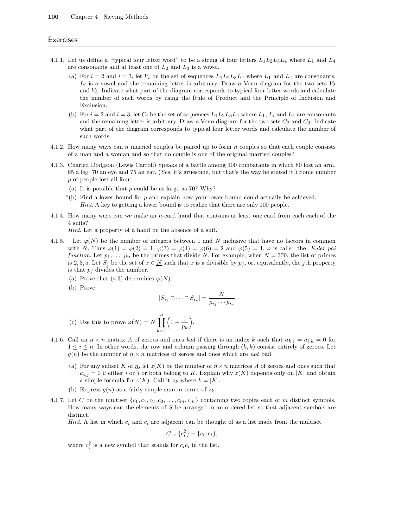#### **Exercises**

- 4.1.1. Let us define a "typical four letter word" to be a string of four letters  $L_1L_2L_3L_4$  where  $L_1$  and  $L_4$ are consonants and at least one of  $L_2$  and  $L_3$  is a vowel.
	- (a) For  $i = 2$  and  $i = 3$ , let  $V_i$  be the set of sequences  $L_1L_2L_3L_4$  where  $L_1$  and  $L_4$  are consonants,  $L_i$  is a vowel and the remaining letter is arbitrary. Draw a Venn diagram for the two sets  $V_2$ and V3. Indicate what part of the diagram corresponds to typical four letter words and calculate the number of such words by using the Rule of Product and the Principle of Inclusion and Exclusion.
	- (b) For  $i = 2$  and  $i = 3$ , let  $C_i$  be the set of sequences  $L_1L_2L_3L_4$  where  $L_1$ ,  $L_i$  and  $L_4$  are consonants and the remaining letter is arbitrary. Draw a Venn diagram for the two sets  $C_2$  and  $C_3$ . Indicate what part of the diagram corresponds to typical four letter words and calculate the number of such words.
- 4.1.2. How many ways can n married couples be paired up to form  $n$  couples so that each couple consists of a man and a woman and so that no couple is one of the original married couples?
- 4.1.3. Charled Dodgson (Lewis Carroll) Speaks of a battle among 100 combatants in which 80 lost an arm, 85 a leg, 70 an eye and 75 an ear. (Yes, it's gruesome, but that's the way he stated it.) Some number p of people lost all four.
	- (a) It is possible that  $p$  could be as large as 70? Why?
	- $*(b)$  Find a lower bound for p and explain how your lower bound could actually be achieved. Hint. A key to getting a lower bound is to realize that there are only 100 people.
- 4.1.4. How many ways can we make an n-card hand that contains at least one card from each each of the 4 suits?

Hint. Let a property of a hand be the absence of a suit.

- 4.1.5. Let  $\varphi(N)$  be the number of integers between 1 and N inclusive that have no factors in common with N. Thus  $\varphi(1) = \varphi(2) = 1$ ,  $\varphi(3) = \varphi(4) = \varphi(6) = 2$  and  $\varphi(5) = 4$ .  $\varphi$  is called the Euler phi function. Let  $p_1, \ldots, p_n$  be the primes that divide N. For example, when  $N = 300$ , the list of primes is 2, 3, 5. Let  $S_j$  be the set of  $x \in \underline{N}$  such that x is a divisible by  $p_j$ , or, equivalently, the jth property is that  $p_i$  divides the number.
	- (a) Prove that (4.3) determines  $\varphi(N)$ .
	- (b) Prove

$$
|S_{i_1} \cap \dots \cap S_{i_r}| = \frac{N}{p_{i_1} \cdots p_{i_r}}.
$$

(c) Use this to prove 
$$
\varphi(N) = N \prod_{k=1}^{n} \left(1 - \frac{1}{p_k}\right)
$$
.

- 4.1.6. Call an  $n \times n$  matrix A of zeroes and ones bad if there is an index k such that  $a_{k,i} = a_{i,k} = 0$  for  $1 \leq i \leq n$ . In other words, the row and column passing through  $(k, k)$  consist entirely of zeroes. Let  $g(n)$  be the number of  $n \times n$  matrices of zeroes and ones which are not bad.
	- (a) For any subset K of  $\underline{n}$ , let  $z(K)$  be the number of  $n \times n$  matrices A of zeroes and ones such that  $a_{i,j} = 0$  if either i or j or both belong to K. Explain why  $z(K)$  depends only on |K| and obtain a simple formula for  $z(K)$ . Call it  $z_k$  where  $k = |K|$ .
	- (b) Express  $g(n)$  as a fairly simple sum in terms of  $z_k$ .
- 4.1.7. Let C be the multiset  $\{c_1, c_1, c_2, c_2, \ldots, c_m, c_m\}$  containing two copies each of m distinct symbols. How many ways can the elements of  $S$  be arranged in an ordered list so that adjacent symbols are distinct.

*Hint.* A list in which  $c_i$  and  $c_i$  are adjacent can be thought of as a list made from the multiset

$$
C\cup \{c_i^2\}-\{c_i,c_i\},
$$

where  $c_i^2$  is a new symbol that stands for  $c_i c_i$  in the list.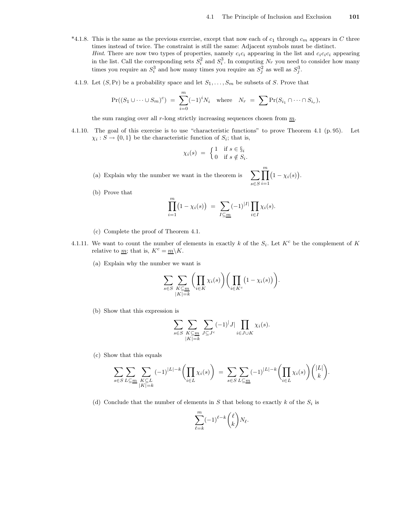- \*4.1.8. This is the same as the previous exercise, except that now each of  $c_1$  through  $c_m$  appears in C three times instead of twice. The constraint is still the same: Adjacent symbols must be distinct. *Hint*. There are now two types of properties, namely  $c_i c_i$  appearing in the list and  $c_i c_i c_i$  appearing in the list. Call the corresponding sets  $S_i^2$  and  $S_i^3$ . In computing  $N_r$  you need to consider how many times you require an  $S_i^3$  and how many times you require an  $S_j^2$  as well as  $S_j^3$ .
- 4.1.9. Let  $(S, Pr)$  be a probability space and let  $S_1, \ldots, S_m$  be subsets of S. Prove that

$$
\Pr((S_1 \cup \dots \cup S_m)^c) = \sum_{i=0}^m (-1)^i N_i \quad \text{where} \quad N_r = \sum \Pr(S_{i_1} \cap \dots \cap S_{i_r}),
$$

the sum ranging over all r-long strictly increasing sequences chosen from  $m$ .

4.1.10. The goal of this exercise is to use "characteristic functions" to prove Theorem 4.1 (p. 95). Let  $\chi_i: S \to \{0,1\}$  be the characteristic function of  $S_i$ ; that is,

$$
\chi_i(s) = \begin{cases} 1 & \text{if } s \in \S_i \\ 0 & \text{if } s \notin S_i. \end{cases}
$$

(a) Explain why the number we want in the theorem is  $\,$ s∈S  $\prod^m$  $i=1$  $(1-\chi_i(s)).$ 

(b) Prove that

$$
\prod_{i=1}^{m} (1 - \chi_i(s)) = \sum_{I \subseteq \underline{m}} (-1)^{|I|} \prod_{i \in I} \chi_i(s).
$$

- (c) Complete the proof of Theorem 4.1.
- 4.1.11. We want to count the number of elements in exactly k of the  $S_i$ . Let  $K^c$  be the complement of K relative to <u>m</u>; that is,  $K^c = m \backslash K$ .
	- (a) Explain why the number we want is

$$
\sum_{s \in S} \sum_{\substack{K \subseteq m \\ |K| = k}} \left( \prod_{i \in K} \chi_i(s) \right) \left( \prod_{i \in K^c} \left( 1 - \chi_i(s) \right) \right).
$$

(b) Show that this expression is

$$
\sum_{s \in S} \sum_{\substack{K \subseteq m \\ |K| = k}} \sum_{J \subseteq J^c} (-1)^|J| \prod_{i \in J \cup K} \chi_i(s).
$$

(c) Show that this equals

$$
\sum_{s\in S}\sum_{L\subseteq\underline{m}}\sum_{\substack{K\subseteq L\\|K|=k}}(-1)^{|L|-k}\bigg(\prod_{i\in L}\chi_i(s)\bigg) = \sum_{s\in S}\sum_{L\subseteq\underline{m}}(-1)^{|L|-k}\bigg(\prod_{i\in L}\chi_i(s)\bigg)\binom{|L|}{k}.
$$

(d) Conclude that the number of elements in  $S$  that belong to exactly  $k$  of the  $S_i$  is

$$
\sum_{\ell=k}^m (-1)^{\ell-k} \binom{\ell}{k} N_{\ell}.
$$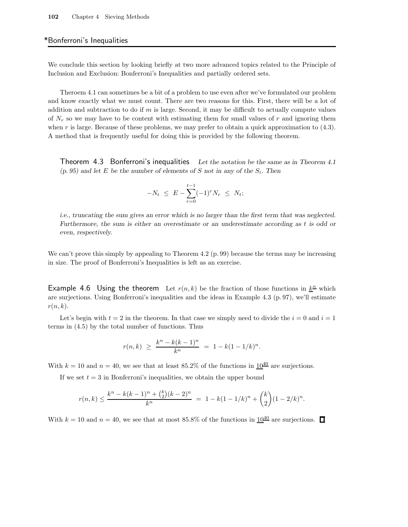#### \*Bonferroni's Inequalities

We conclude this section by looking briefly at two more advanced topics related to the Principle of Inclusion and Exclusion: Bonferroni's Inequalities and partially ordered sets.

Theroem 4.1 can sometimes be a bit of a problem to use even after we've formulated our problem and know exactly what we must count. There are two reasons for this. First, there will be a lot of addition and subtraction to do if  $m$  is large. Second, it may be difficult to actually compute values of  $N_r$  so we may have to be content with estimating them for small values of r and ignoring them when r is large. Because of these problems, we may prefer to obtain a quick approximation to  $(4.3)$ . A method that is frequently useful for doing this is provided by the following theorem.

Theorem 4.3 Bonferroni's inequalities Let the notation be the same as in Theorem 4.1  $(p. 95)$  and let E be the number of elements of S not in any of the  $S_i$ . Then

$$
-N_t \leq E - \sum_{r=0}^{t-1} (-1)^r N_r \leq N_t;
$$

i.e., truncating the sum gives an error which is no larger than the first term that was neglected. Furthermore, the sum is either an overestimate or an underestimate according as t is odd or even, respectively.

We can't prove this simply by appealing to Theorem 4.2 (p. 99) because the terms may be increasing in size. The proof of Bonferroni's Inequalities is left as an exercise.

Example 4.6 Using the theorem Let  $r(n, k)$  be the fraction of those functions in  $\underline{k}^n$  which are surjections. Using Bonferroni's inequalities and the ideas in Example 4.3 (p. 97), we'll estimate  $r(n, k)$ .

Let's begin with  $t = 2$  in the theorem. In that case we simply need to divide the  $i = 0$  and  $i = 1$ terms in (4.5) by the total number of functions. Thus

$$
r(n,k) \geq \frac{k^n - k(k-1)^n}{k^n} = 1 - k(1 - 1/k)^n.
$$

With  $k = 10$  and  $n = 40$ , we see that at least 85.2% of the functions in  $10^{40}$  are surjections.

If we set  $t = 3$  in Bonferroni's inequalities, we obtain the upper bound

$$
r(n,k) \le \frac{k^n - k(k-1)^n + {k \choose 2}(k-2)^n}{k^n} = 1 - k(1-1/k)^n + {k \choose 2}(1-2/k)^n.
$$

With  $k = 10$  and  $n = 40$ , we see that at most 85.8% of the functions in  $10^{40}$  are surjections.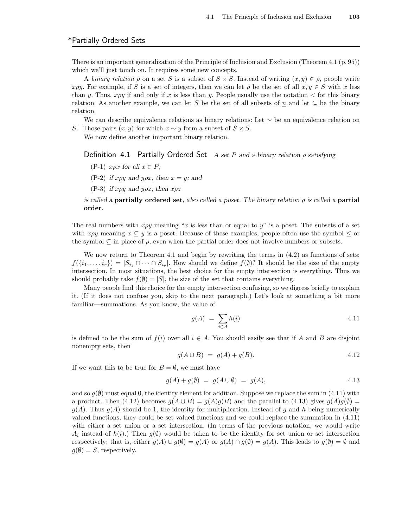#### \*Partially Ordered Sets

There is an important generalization of the Principle of Inclusion and Exclusion (Theorem 4.1 (p. 95)) which we'll just touch on. It requires some new concepts.

A binary relation  $\rho$  on a set S is a subset of  $S \times S$ . Instead of writing  $(x, y) \in \rho$ , people write xρy. For example, if S is a set of integers, then we can let  $\rho$  be the set of all  $x, y \in S$  with x less than y. Thus, x $\rho y$  if and only if x is less than y. People usually use the notation  $\lt$  for this binary relation. As another example, we can let S be the set of all subsets of  $\underline{n}$  and let  $\subseteq$  be the binary relation.

We can describe equivalence relations as binary relations: Let ∼ be an equivalence relation on S. Those pairs  $(x, y)$  for which  $x \sim y$  form a subset of  $S \times S$ .

We now define another important binary relation.

Definition 4.1 Partially Ordered Set A set P and a binary relation  $\rho$  satisfying

- (P-1)  $x \rho x$  for all  $x \in P$ ;
- (P-2) if  $x\rho y$  and  $y\rho x$ , then  $x = y$ ; and
- (P-3) if  $x\rho y$  and  $y\rho z$ , then  $x\rho z$

is called a **partially ordered set**, also called a poset. The binary relation  $\rho$  is called a **partial** order.

The real numbers with  $x\rho y$  meaning "x is less than or equal to y" is a poset. The subsets of a set with  $x\rho y$  meaning  $x \subset y$  is a poset. Because of these examples, people often use the symbol  $\leq$  or the symbol  $\subseteq$  in place of  $\rho$ , even when the partial order does not involve numbers or subsets.

We now return to Theorem 4.1 and begin by rewriting the terms in  $(4.2)$  as functions of sets:  $f(\{i_1,\ldots,i_r\})=|S_{i_1}\cap\cdots\cap S_{i_r}|.$  How should we define  $f(\emptyset)$ ? It should be the size of the empty intersection. In most situations, the best choice for the empty intersection is everything. Thus we should probably take  $f(\emptyset) = |S|$ , the size of the set that contains everything.

Many people find this choice for the empty intersection confusing, so we digress briefly to explain it. (If it does not confuse you, skip to the next paragraph.) Let's look at something a bit more familiar—summations. As you know, the value of

$$
g(A) = \sum_{i \in A} h(i) \tag{4.11}
$$

is defined to be the sum of  $f(i)$  over all  $i \in A$ . You should easily see that if A and B are disjoint nonempty sets, then

$$
g(A \cup B) = g(A) + g(B). \tag{4.12}
$$

If we want this to be true for  $B = \emptyset$ , we must have

$$
g(A) + g(\emptyset) = g(A \cup \emptyset) = g(A), \tag{4.13}
$$

and so  $q(\emptyset)$  must equal 0, the identity element for addition. Suppose we replace the sum in (4.11) with a product. Then (4.12) becomes  $g(A \cup B) = g(A)g(B)$  and the parallel to (4.13) gives  $g(A)g(\emptyset) =$  $g(A)$ . Thus  $g(A)$  should be 1, the identity for multiplication. Instead of g and h being numerically valued functions, they could be set valued functions and we could replace the summation in (4.11) with either a set union or a set intersection. (In terms of the previous notation, we would write  $A_i$  instead of  $h(i)$ .) Then  $g(\emptyset)$  would be taken to be the identity for set union or set intersection respectively; that is, either  $g(A) \cup g(\emptyset) = g(A)$  or  $g(A) \cap g(\emptyset) = g(A)$ . This leads to  $g(\emptyset) = \emptyset$  and  $g(\emptyset) = S$ , respectively.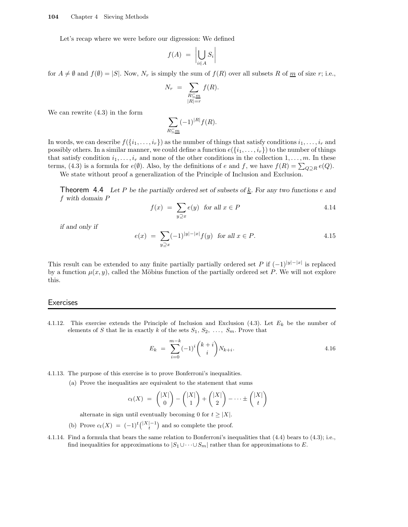Let's recap where we were before our digression: We defined

$$
f(A) = \left| \bigcup_{i \in A} S_i \right|
$$

for  $A \neq \emptyset$  and  $f(\emptyset) = |S|$ . Now,  $N_r$  is simply the sum of  $f(R)$  over all subsets R of <u>m</u> of size r; i.e.,

$$
N_r = \sum_{\substack{R \subseteq m \\ |R| = r}} f(R).
$$

We can rewrite (4.3) in the form

$$
\sum_{R \subseteq \underline{m}} (-1)^{|R|} f(R).
$$

In words, we can describe  $f(\{i_1,\ldots,i_r\})$  as the number of things that satisfy conditions  $i_1,\ldots,i_r$  and possibly others. In a similar manner, we could define a function  $e({i_1},...,i_r)$  to the number of things that satisfy condition  $i_1, \ldots, i_r$  and none of the other conditions in the collection  $1, \ldots, m$ . In these terms, (4.3) is a formula for  $e(\emptyset)$ . Also, by the definitions of e and f, we have  $f(R) = \sum_{Q \supseteq R} e(Q)$ .

We state without proof a generalization of the Principle of Inclusion and Exclusion.

**Theorem 4.4** Let P be the partially ordered set of subsets of  $\underline{k}$ . For any two functions e and f with domain P

$$
f(x) = \sum_{y \supseteq x} e(y) \quad \text{for all } x \in P \tag{4.14}
$$

if and only if

$$
e(x) = \sum_{y \supseteq x} (-1)^{|y| - |x|} f(y) \text{ for all } x \in P.
$$
 4.15

This result can be extended to any finite partially partially ordered set P if  $(-1)^{|y|-|x|}$  is replaced by a function  $\mu(x, y)$ , called the Möbius function of the partially ordered set P. We will not explore this.

#### Exercises

4.1.12. This exercise extends the Principle of Inclusion and Exclusion (4.3). Let  $E_k$  be the number of elements of S that lie in exactly k of the sets  $S_1, S_2, \ldots, S_m$ . Prove that

$$
E_k = \sum_{i=0}^{m-k} (-1)^i {k+i \choose i} N_{k+i}.
$$

- 4.1.13. The purpose of this exercise is to prove Bonferroni's inequalities.
	- (a) Prove the inequalities are equivalent to the statement that sums

$$
c_t(X) = \binom{|X|}{0} - \binom{|X|}{1} + \binom{|X|}{2} - \dots \pm \binom{|X|}{t}
$$

alternate in sign until eventually becoming 0 for  $t \geq |X|$ .

- (b) Prove  $c_t(X) = (-1)^t { |X|-1 \choose t }$  and so complete the proof.
- 4.1.14. Find a formula that bears the same relation to Bonferroni's inequalities that (4.4) bears to (4.3); i.e., find inequalities for approximations to  $|S_1 \cup \cdots \cup S_m|$  rather than for approximations to E.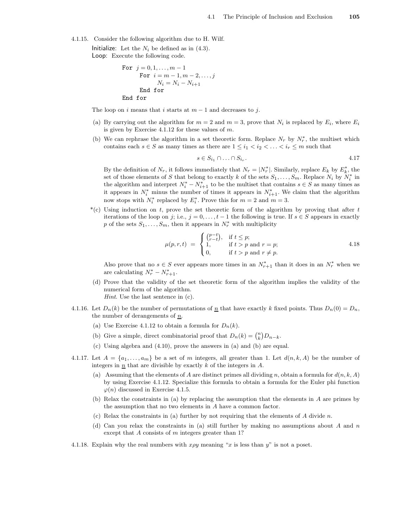4.1.15. Consider the following algorithm due to H. Wilf.

Initialize: Let the  $N_i$  be defined as in (4.3). Loop: Execute the following code.

For 
$$
j = 0, 1, \ldots, m-1
$$
  
For  $i = m-1, m-2, \ldots, j$   
 $N_i = N_i - N_{i+1}$   
End for  
End for

The loop on i means that i starts at  $m-1$  and decreases to j.

- (a) By carrying out the algorithm for  $m=2$  and  $m=3$ , prove that  $N_i$  is replaced by  $E_i$ , where  $E_i$ is given by Exercise  $4.1.12$  for these values of m.
- (b) We can rephrase the algorithm in a set theoretic form. Replace  $N_r$  by  $N_r^*$ , the multiset which contains each  $s \in S$  as many times as there are  $1 \leq i_1 < i_2 < \ldots < i_r \leq m$  such that

$$
s \in S_{i_1} \cap \ldots \cap S_{i_r}.\tag{4.17}
$$

By the definition of  $N_r$ , it follows immediately that  $N_r = |N_r^*|$ . Similarly, replace  $E_k$  by  $E_k^*$ , the set of those elements of S that belong to exactly k of the sets  $S_1, \ldots, S_m$ . Replace  $N_i$  by  $N_i^*$  in the algorithm and interpret  $N_i^* - N_{i+1}^*$  to be the multiset that contains  $s \in S$  as many times as it appears in  $N_i^*$  minus the number of times it appears in  $N_{i+1}^*$ . We claim that the algorithm now stops with  $N_i^*$  replaced by  $E_i^*$ . Prove this for  $m = 2$  and  $m = 3$ .

 $*(c)$  Using induction on t, prove the set theoretic form of the algorithm by proving that after t iterations of the loop on j; i.e.,  $j = 0, \ldots, t-1$  the following is true. If  $s \in S$  appears in exactly p of the sets  $S_1, \ldots, S_m$ , then it appears in  $N_r^*$  with multiplicity

$$
\mu(p,r,t) = \begin{cases}\n\binom{p-t}{r-t}, & \text{if } t \leq p; \\
1, & \text{if } t > p \text{ and } r = p; \\
0, & \text{if } t > p \text{ and } r \neq p.\n\end{cases}
$$
\n4.18

Also prove that no  $s \in S$  ever appears more times in an  $N_{r+1}^*$  than it does in an  $N_r^*$  when we are calculating  $N_r^* - N_{r+1}^*$ .

- (d) Prove that the validity of the set theoretic form of the algorithm implies the validity of the numerical form of the algorithm. Hint. Use the last sentence in (c).
- 4.1.16. Let  $D_n(k)$  be the number of permutations of  $\overline{n}$  that have exactly k fixed points. Thus  $D_n(0) = D_n$ , the number of derangements of  $n$ .
	- (a) Use Exercise 4.1.12 to obtain a formula for  $D_n(k)$ .
	- (b) Give a simple, direct combinatorial proof that  $D_n(k) = \binom{n}{k} D_{n-k}$ .
	- (c) Using algebra and (4.10), prove the answers in (a) and (b) are equal.
- 4.1.17. Let  $A = \{a_1, \ldots, a_m\}$  be a set of m integers, all greater than 1. Let  $d(n, k, A)$  be the number of integers in  $\underline{n}$  that are divisible by exactly k of the integers in A.
	- (a) Assuming that the elements of A are distinct primes all dividing n, obtain a formula for  $d(n, k, A)$ by using Exercise 4.1.12. Specialize this formula to obtain a formula for the Euler phi function  $\varphi(n)$  discussed in Exercise 4.1.5.
	- (b) Relax the constraints in (a) by replacing the assumption that the elements in A are primes by the assumption that no two elements in A have a common factor.
	- (c) Relax the constraints in (a) further by not requiring that the elements of  $A$  divide  $n$ .
	- (d) Can you relax the constraints in (a) still further by making no assumptions about A and  $n$ except that A consists of m integers greater than 1?
- 4.1.18. Explain why the real numbers with  $x\rho y$  meaning "x is less than y" is not a poset.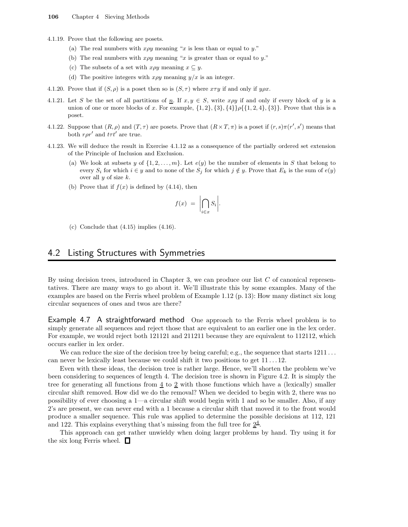- 4.1.19. Prove that the following are posets.
	- (a) The real numbers with  $x\rho y$  meaning "x is less than or equal to y."
	- (b) The real numbers with  $x\rho y$  meaning "x is greater than or equal to y."
	- (c) The subsets of a set with  $x\rho y$  meaning  $x \subseteq y$ .
	- (d) The positive integers with  $x\rho y$  meaning  $y/x$  is an integer.
- 4.1.20. Prove that if  $(S, \rho)$  is a poset then so is  $(S, \tau)$  where  $x \tau y$  if and only if  $y \rho x$ .
- 4.1.21. Let S be the set of all partitions of n. If  $x, y \in S$ , write xpy if and only if every block of y is a union of one or more blocks of x. For example,  $\{1, 2\}$ ,  $\{3\}$ ,  $\{4\}$  $\rho$  $\{\{1, 2, 4\}$ ,  $\{3\}$ . Prove that this is a poset.
- 4.1.22. Suppose that  $(R, \rho)$  and  $(T, \tau)$  are posets. Prove that  $(R \times T, \pi)$  is a poset if  $(r, s)\pi(r', s')$  means that both  $r\rho r'$  and  $t\tau t'$  are true.
- 4.1.23. We will deduce the result in Exercise 4.1.12 as a consequence of the partially ordered set extension of the Principle of Inclusion and Exclusion.
	- (a) We look at subsets y of  $\{1, 2, \ldots, m\}$ . Let  $e(y)$  be the number of elements in S that belong to every  $S_i$  for which  $i \in y$  and to none of the  $S_j$  for which  $j \notin y$ . Prove that  $E_k$  is the sum of  $e(y)$ over all  $y$  of size  $k$ .
	- (b) Prove that if  $f(x)$  is defined by (4.14), then

$$
f(x) = \left| \bigcap_{i \in x} S_i \right|.
$$

(c) Conclude that  $(4.15)$  implies  $(4.16)$ .

# 4.2 Listing Structures with Symmetries

By using decision trees, introduced in Chapter 3, we can produce our list  $C$  of canonical representatives. There are many ways to go about it. We'll illustrate this by some examples. Many of the examples are based on the Ferris wheel problem of Example 1.12 (p. 13): How many distinct six long circular sequences of ones and twos are there?

Example 4.7 A straightforward method One approach to the Ferris wheel problem is to simply generate all sequences and reject those that are equivalent to an earlier one in the lex order. For example, we would reject both 121121 and 211211 because they are equivalent to 112112, which occurs earlier in lex order.

We can reduce the size of the decision tree by being careful; e.g., the sequence that starts  $1211...$ can never be lexically least because we could shift it two positions to get 11 . . . 12.

Even with these ideas, the decision tree is rather large. Hence, we'll shorten the problem we've been considering to sequences of length 4. The decision tree is shown in Figure 4.2. It is simply the tree for generating all functions from  $\frac{4}{3}$  to  $\frac{2}{3}$  with those functions which have a (lexically) smaller circular shift removed. How did we do the removal? When we decided to begin with 2, there was no possibility of ever choosing a 1—a circular shift would begin with 1 and so be smaller. Also, if any 2's are present, we can never end with a 1 because a circular shift that moved it to the front would produce a smaller sequence. This rule was applied to determine the possible decisions at 112, 121 and 122. This explains everything that's missing from the full tree for  $2^{\underline{4}}$ .

This approach can get rather unwieldy when doing larger problems by hand. Try using it for the six long Ferris wheel.  $\square$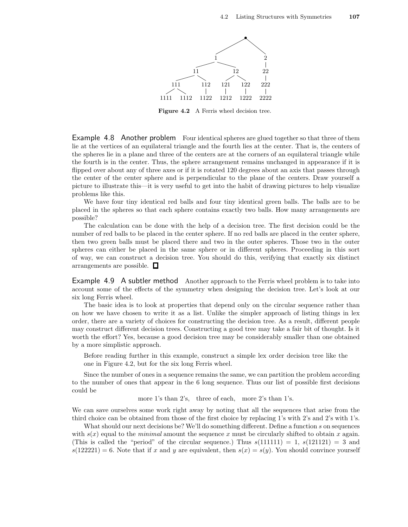

Figure 4.2 A Ferris wheel decision tree.

Example 4.8 Another problem Four identical spheres are glued together so that three of them lie at the vertices of an equilateral triangle and the fourth lies at the center. That is, the centers of the spheres lie in a plane and three of the centers are at the corners of an equilateral triangle while the fourth is in the center. Thus, the sphere arrangement remains unchanged in appearance if it is flipped over about any of three axes or if it is rotated 120 degrees about an axis that passes through the center of the center sphere and is perpendicular to the plane of the centers. Draw yourself a picture to illustrate this—it is very useful to get into the habit of drawing pictures to help visualize problems like this.

We have four tiny identical red balls and four tiny identical green balls. The balls are to be placed in the spheres so that each sphere contains exactly two balls. How many arrangements are possible?

The calculation can be done with the help of a decision tree. The first decision could be the number of red balls to be placed in the center sphere. If no red balls are placed in the center sphere, then two green balls must be placed there and two in the outer spheres. Those two in the outer spheres can either be placed in the same sphere or in different spheres. Proceeding in this sort of way, we can construct a decision tree. You should do this, verifying that exactly six distinct arrangements are possible.  $\Box$ 

Example 4.9 A subtler method Another approach to the Ferris wheel problem is to take into account some of the effects of the symmetry when designing the decision tree. Let's look at our six long Ferris wheel.

The basic idea is to look at properties that depend only on the circular sequence rather than on how we have chosen to write it as a list. Unlike the simpler approach of listing things in lex order, there are a variety of choices for constructing the decision tree. As a result, different people may construct different decision trees. Constructing a good tree may take a fair bit of thought. Is it worth the effort? Yes, because a good decision tree may be considerably smaller than one obtained by a more simplistic approach.

Before reading further in this example, construct a simple lex order decision tree like the one in Figure 4.2, but for the six long Ferris wheel.

Since the number of ones in a sequence remains the same, we can partition the problem according to the number of ones that appear in the 6 long sequence. Thus our list of possible first decisions could be

more 1's than 2's, three of each, more 2's than 1's.

We can save ourselves some work right away by noting that all the sequences that arise from the third choice can be obtained from those of the first choice by replacing 1's with 2's and 2's with 1's.

What should our next decisions be? We'll do something different. Define a function s on sequences with  $s(x)$  equal to the *minimal* amount the sequence x must be circularly shifted to obtain x again. (This is called the "period" of the circular sequence.) Thus  $s(111111) = 1$ ,  $s(121121) = 3$  and  $s(122221) = 6$ . Note that if x and y are equivalent, then  $s(x) = s(y)$ . You should convince yourself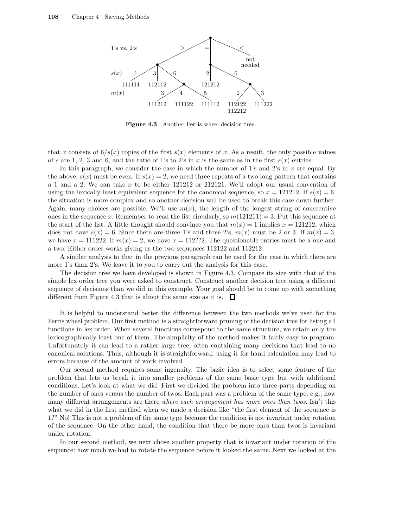

Figure 4.3 Another Ferris wheel decision tree.

that x consists of  $6/s(x)$  copies of the first  $s(x)$  elements of x. As a result, the only possible values of s are 1, 2, 3 and 6, and the ratio of 1's to 2's in x is the same as in the first  $s(x)$  entries.

In this paragraph, we consider the case in which the number of 1's and 2's in  $x$  are equal. By the above,  $s(x)$  must be even. If  $s(x) = 2$ , we need three repeats of a two long pattern that contains a 1 and a 2. We can take x to be either  $121212$  or  $212121$ . We'll adopt our usual convention of using the lexically least equivalent sequence for the canonical sequence, so  $x = 121212$ . If  $s(x) = 6$ , the situation is more complex and so another decision will be used to break this case down further. Again, many choices are possible. We'll use  $m(x)$ , the length of the longest string of consecutive ones in the sequence x. Remember to read the list circularly, so  $m(121211) = 3$ . Put this sequence at the start of the list. A little thought should convince you that  $m(x) = 1$  implies  $x = 121212$ , which does not have  $s(x) = 6$ . Since there are three 1's and three 2's,  $m(x)$  must be 2 or 3. If  $m(x) = 3$ , we have  $x = 111222$ . If  $m(x) = 2$ , we have  $x = 112??2$ . The questionable entries must be a one and a two. Either order works giving us the two sequences 112122 and 112212.

A similar analysis to that in the previous paragraph can be used for the case in which there are more 1's than 2's. We leave it to you to carry out the analysis for this case.

The decision tree we have developed is shown in Figure 4.3. Compare its size with that of the simple lex order tree you were asked to construct. Construct another decision tree using a different sequence of decisions than we did in this example. Your goal should be to come up with something different from Figure 4.3 that is about the same size as it is.  $\Box$ 

It is helpful to understand better the difference between the two methods we've used for the Ferris wheel problem. Our first method is a straightforward pruning of the decision tree for listing all functions in lex order. When several functions correspond to the same structure, we retain only the lexicographically least one of them. The simplicity of the method makes it fairly easy to program. Unfortunately it can lead to a rather large tree, often containing many decisions that lead to no canonical solutions. Thus, although it is straightforward, using it for hand calculation may lead to errors because of the amount of work involved.

Our second method requires some ingenuity. The basic idea is to select some feature of the problem that lets us break it into smaller problems of the same basic type but with additional conditions. Let's look at what we did. First we divided the problem into three parts depending on the number of ones versus the number of twos. Each part was a problem of the same type; e.g., how many different arrangements are there where each arrangement has more ones than twos. Isn't this what we did in the first method when we made a decision like "the first element of the sequence is 1?" No! This is not a problem of the same type because the condition is not invariant under rotation of the sequence. On the other hand, the condition that there be more ones than twos is invariant under rotation.

In our second method, we next chose another property that is invariant under rotation of the sequence: how much we had to rotate the sequence before it looked the same. Next we looked at the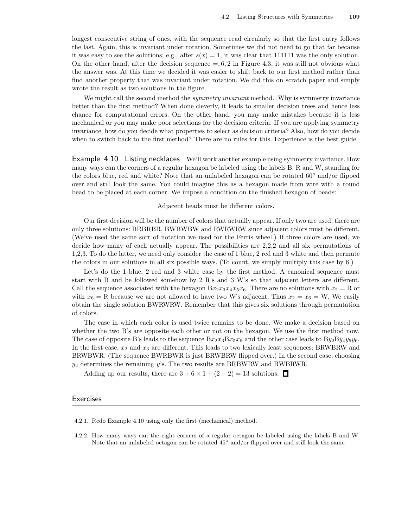longest consecutive string of ones, with the sequence read circularly so that the first entry follows the last. Again, this is invariant under rotation. Sometimes we did not need to go that far because it was easy to see the solutions; e.g., after  $s(x) = 1$ , it was clear that 111111 was the only solution. On the other hand, after the decision sequence  $=$ , 6, 2 in Figure 4.3, it was still not obvious what the answer was. At this time we decided it was easier to shift back to our first method rather than find another property that was invariant under rotation. We did this on scratch paper and simply wrote the result as two solutions in the figure.

We might call the second method the *symmetry invariant* method. Why is symmetry invariance better than the first method? When done cleverly, it leads to smaller decision trees and hence less chance for computational errors. On the other hand, you may make mistakes because it is less mechanical or you may make poor selections for the decision criteria. If you are applying symmetry invariance, how do you decide what properties to select as decision criteria? Also, how do you decide when to switch back to the first method? There are no rules for this. Experience is the best guide.

Example 4.10 Listing necklaces We'll work another example using symmetry invariance. How many ways can the corners of a regular hexagon be labeled using the labels B, R and W, standing for the colors blue, red and white? Note that an unlabeled hexagon can be rotated 60◦ and/or flipped over and still look the same. You could imagine this as a hexagon made from wire with a round bead to be placed at each corner. We impose a condition on the finished hexagon of beads:

Adjacent beads must be different colors.

Our first decision will be the number of colors that actually appear. If only two are used, there are only three solutions: BRBRBR, BWBWBW and RWRWRW since adjacent colors must be different. (We've used the same sort of notation we used for the Ferris wheel.) If three colors are used, we decide how many of each actually appear. The possibilities are 2,2,2 and all six permutations of 1,2,3. To do the latter, we need only consider the case of 1 blue, 2 red and 3 white and then permute the colors in our solutions in all six possible ways. (To count, we simply multiply this case by 6.)

Let's do the 1 blue, 2 red and 3 white case by the first method. A canonical sequence must start with B and be followed somehow by 2 R's and 3 W's so that adjacent letters are different. Call the sequence associated with the hexagon  $Bx_2x_3x_4x_5x_6$ . There are no solutions with  $x_2 = R$  or with  $x_6 = R$  because we are not allowed to have two W's adjacent. Thus  $x_2 = x_6 = W$ . We easily obtain the single solution BWRWRW. Remember that this gives six solutions through permutation of colors.

The case in which each color is used twice remains to be done. We make a decision based on whether the two B's are opposite each other or not on the hexagon. We use the first method now. The case of opposite B's leads to the sequence  $Bx_2x_3Bx_5x_6$  and the other case leads to  $By_2By_4y_5y_6$ . In the first case,  $x_2$  and  $x_3$  are different. This leads to two lexically least sequences: BRWBRW and BRWBWR. (The sequence BWRBWR is just BRWBRW flipped over.) In the second case, choosing  $y_2$  determines the remaining y's. The two results are BRBWRW and BWBRWR.

Adding up our results, there are  $3 + 6 \times 1 + (2 + 2) = 13$  solutions.  $\Box$ 

## Exercises

- 4.2.1. Redo Example 4.10 using only the first (mechanical) method.
- 4.2.2. How many ways can the eight corners of a regular octagon be labeled using the labels B and W. Note that an unlabeled octagon can be rotated  $45^{\circ}$  and/or flipped over and still look the same.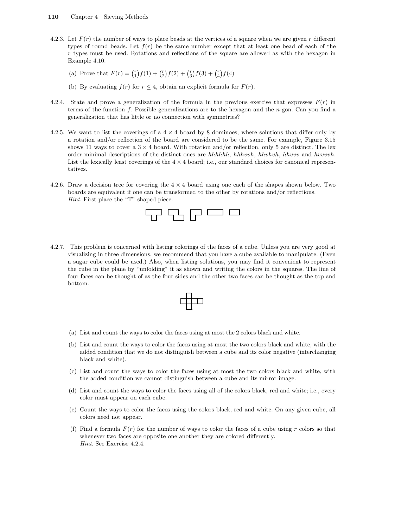- 4.2.3. Let  $F(r)$  the number of ways to place beads at the vertices of a square when we are given r different types of round beads. Let  $f(r)$  be the same number except that at least one bead of each of the  $r$  types must be used. Rotations and reflections of the square are allowed as with the hexagon in Example 4.10.
	- (a) Prove that  $F(r) = {r \choose 1} f(1) + {r \choose 2} f(2) + {r \choose 3} f(3) + {r \choose 4} f(4)$
	- (b) By evaluating  $f(r)$  for  $r \leq 4$ , obtain an explicit formula for  $F(r)$ .
- 4.2.4. State and prove a generalization of the formula in the previous exercise that expresses  $F(r)$  in terms of the function  $f$ . Possible generalizations are to the hexagon and the  $n$ -gon. Can you find a generalization that has little or no connection with symmetries?
- 4.2.5. We want to list the coverings of a  $4 \times 4$  board by 8 dominoes, where solutions that differ only by a rotation and/or reflection of the board are considered to be the same. For example, Figure 3.15 shows 11 ways to cover a  $3 \times 4$  board. With rotation and/or reflection, only 5 are distinct. The lex order minimal descriptions of the distinct ones are hhhhhh, hhhvvh, hhvhvh, hhvvv and hvvvvh. List the lexically least coverings of the  $4 \times 4$  board; i.e., our standard choices for canonical representatives.
- 4.2.6. Draw a decision tree for covering the  $4 \times 4$  board using one each of the shapes shown below. Two boards are equivalent if one can be transformed to the other by rotations and/or reflections. Hint. First place the "T" shaped piece.



4.2.7. This problem is concerned with listing colorings of the faces of a cube. Unless you are very good at visualizing in three dimensions, we recommend that you have a cube available to manipulate. (Even a sugar cube could be used.) Also, when listing solutions, you may find it convenient to represent the cube in the plane by "unfolding" it as shown and writing the colors in the squares. The line of four faces can be thought of as the four sides and the other two faces can be thought as the top and bottom.



- (a) List and count the ways to color the faces using at most the 2 colors black and white.
- (b) List and count the ways to color the faces using at most the two colors black and white, with the added condition that we do not distinguish between a cube and its color negative (interchanging black and white).
- (c) List and count the ways to color the faces using at most the two colors black and white, with the added condition we cannot distinguish between a cube and its mirror image.
- (d) List and count the ways to color the faces using all of the colors black, red and white; i.e., every color must appear on each cube.
- (e) Count the ways to color the faces using the colors black, red and white. On any given cube, all colors need not appear.
- (f) Find a formula  $F(r)$  for the number of ways to color the faces of a cube using r colors so that whenever two faces are opposite one another they are colored differently. Hint. See Exercise 4.2.4.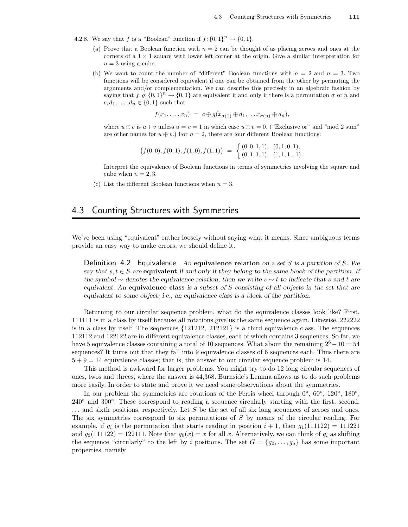- 4.2.8. We say that f is a "Boolean" function if  $f: \{0, 1\}^n \to \{0, 1\}.$ 
	- (a) Prove that a Boolean function with  $n = 2$  can be thought of as placing zeroes and ones at the corners of a  $1 \times 1$  square with lower left corner at the origin. Give a similar interpretation for  $n = 3$  using a cube.
	- (b) We want to count the number of "different" Boolean functions with  $n = 2$  and  $n = 3$ . Two functions will be considered equivalent if one can be obtained from the other by permuting the arguments and/or complementation. We can describe this precisely in an algebraic fashion by saying that  $f, g: \{0,1\}^n \to \{0,1\}$  are equivalent if and only if there is a permutation  $\sigma$  of  $\underline{n}$  and  $c, d_1, ..., d_n \in \{0, 1\}$  such that

$$
f(x_1,\ldots,x_n) = c \oplus g(x_{\sigma(1)} \oplus d_1,\ldots x_{\sigma(n)} \oplus d_n),
$$

where  $u \oplus v$  is  $u + v$  unless  $u = v = 1$  in which case  $u \oplus v = 0$ . ("Exclusive or" and "mod 2 sum" are other names for  $u \oplus v$ .) For  $n = 2$ , there are four different Boolean functions:

$$
(f(0,0), f(0,1), f(1,0), f(1,1)) = \begin{cases} (0,0,1,1), & (0,1,0,1), \\ (0,1,1,1), & (1,1,1,1). \end{cases}
$$

Interpret the equivalence of Boolean functions in terms of symmetries involving the square and cube when  $n = 2, 3$ .

(c) List the different Boolean functions when  $n = 3$ .

# 4.3 Counting Structures with Symmetries

We've been using "equivalent" rather loosely without saying what it means. Since ambiguous terms provide an easy way to make errors, we should define it.

Definition 4.2 Equivalence An equivalence relation on a set S is a partition of S. We say that  $s, t \in S$  are **equivalent** if and only if they belong to the same block of the partition. If the symbol ∼ denotes the equivalence relation, then we write  $s \sim t$  to indicate that s and t are equivalent. An equivalence class is a subset of S consisting of all objects in the set that are equivalent to some object; i.e., an equivalence class is a block of the partition.

Returning to our circular sequence problem, what do the equivalence classes look like? First, 111111 is in a class by itself because all rotations give us the same sequence again. Likewise, 222222 is in a class by itself. The sequences  $\{121212, 212121\}$  is a third equivalence class. The sequences 112112 and 122122 are in different equivalence classes, each of which contains 3 sequences. So far, we have 5 equivalence classes containing a total of 10 sequences. What about the remaining  $2^6-10=54$ sequences? It turns out that they fall into 9 equivalence classes of 6 sequences each. Thus there are  $5 + 9 = 14$  equivalence classes; that is, the answer to our circular sequence problem is 14.

This method is awkward for larger problems. You might try to do 12 long circular sequences of ones, twos and threes, where the answer is 44,368. Burnside's Lemma allows us to do such problems more easily. In order to state and prove it we need some observations about the symmetries.

In our problem the symmetries are rotations of the Ferris wheel through  $0^{\circ}$ ,  $60^{\circ}$ ,  $120^{\circ}$ ,  $180^{\circ}$ , 240° and 300°. These correspond to reading a sequence circularly starting with the first, second,  $\ldots$  and sixth positions, respectively. Let S be the set of all six long sequences of zeroes and ones. The six symmetries correspond to six permutations of S by means of the circular reading. For example, if  $g_i$  is the permutation that starts reading in position  $i + 1$ , then  $g_1(111122) = 111221$ and  $g_3(111122) = 122111$ . Note that  $g_0(x) = x$  for all x. Alternatively, we can think of  $g_i$  as shifting the sequence "circularly" to the left by i positions. The set  $G = \{g_0, \ldots, g_5\}$  has some important properties, namely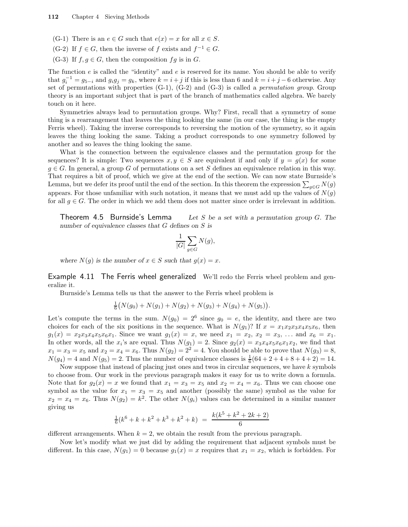- (G-1) There is an  $e \in G$  such that  $e(x) = x$  for all  $x \in S$ .
- (G-2) If  $f \in G$ , then the inverse of f exists and  $f^{-1} \in G$ .
- (G-3) If  $f, g \in G$ , then the composition  $fg$  is in G.

The function e is called the "identity" and e is reserved for its name. You should be able to verify that  $g_i^{-1} = g_{5-i}$  and  $g_i g_j = g_k$ , where  $k = i + j$  if this is less than 6 and  $k = i + j - 6$  otherwise. Any set of permutations with properties  $(G-1)$ ,  $(G-2)$  and  $(G-3)$  is called a *permutation group*. Group theory is an important subject that is part of the branch of mathematics called algebra. We barely touch on it here.

Symmetries always lead to permutation groups. Why? First, recall that a symmetry of some thing is a rearrangement that leaves the thing looking the same (in our case, the thing is the empty Ferris wheel). Taking the inverse corresponds to reversing the motion of the symmetry, so it again leaves the thing looking the same. Taking a product corresponds to one symmetry followed by another and so leaves the thing looking the same.

What is the connection between the equivalence classes and the permutation group for the sequences? It is simple: Two sequences  $x, y \in S$  are equivalent if and only if  $y = g(x)$  for some  $g \in G$ . In general, a group G of permutations on a set S defines an equivalence relation in this way. That requires a bit of proof, which we give at the end of the section. We can now state Burnside's Lemma, but we defer its proof until the end of the section. In this theorem the expression  $\sum_{g \in G} N(g)$ appears. For those unfamiliar with such notation, it means that we must add up the values of  $N(q)$ for all  $g \in G$ . The order in which we add them does not matter since order is irrelevant in addition.

Theorem 4.5 Burnside's Lemma Let S be a set with a permutation group G. The number of equivalence classes that G defines on S is

$$
\frac{1}{|G|} \sum_{g \in G} N(g),
$$

where  $N(q)$  is the number of  $x \in S$  such that  $q(x) = x$ .

Example 4.11 The Ferris wheel generalized We'll redo the Ferris wheel problem and generalize it.

Burnside's Lemma tells us that the answer to the Ferris wheel problem is

$$
\frac{1}{6}(N(g_0) + N(g_1) + N(g_2) + N(g_3) + N(g_4) + N(g_5)).
$$

Let's compute the terms in the sum.  $N(g_0) = 2^6$  since  $g_0 = e$ , the identity, and there are two choices for each of the six positions in the sequence. What is  $N(q_1)$ ? If  $x = x_1x_2x_3x_4x_5x_6$ , then  $g_1(x) = x_2x_3x_4x_5x_6x_1$ . Since we want  $g_1(x) = x$ , we need  $x_1 = x_2, x_2 = x_3, \ldots$  and  $x_6 = x_1$ . In other words, all the  $x_i$ 's are equal. Thus  $N(g_1) = 2$ . Since  $g_2(x) = x_3x_4x_5x_6x_1x_2$ , we find that  $x_1 = x_3 = x_5$  and  $x_2 = x_4 = x_6$ . Thus  $N(g_2) = 2^2 = 4$ . You should be able to prove that  $N(g_3) = 8$ ,  $N(g_4) = 4$  and  $N(g_5) = 2$ . Thus the number of equivalence classes is  $\frac{1}{6}(64 + 2 + 4 + 8 + 4 + 2) = 14$ .

Now suppose that instead of placing just ones and twos in circular sequences, we have  $k$  symbols to choose from. Our work in the previous paragraph makes it easy for us to write down a formula. Note that for  $g_2(x) = x$  we found that  $x_1 = x_3 = x_5$  and  $x_2 = x_4 = x_6$ . Thus we can choose one symbol as the value for  $x_1 = x_3 = x_5$  and another (possibly the same) symbol as the value for  $x_2 = x_4 = x_6$ . Thus  $N(g_2) = k^2$ . The other  $N(g_i)$  values can be determined in a similar manner giving us

$$
\frac{1}{6}(k^6 + k + k^2 + k^3 + k^2 + k) = \frac{k(k^5 + k^2 + 2k + 2)}{6}
$$

different arrangements. When  $k = 2$ , we obtain the result from the previous paragraph.

Now let's modify what we just did by adding the requirement that adjacent symbols must be different. In this case,  $N(g_1) = 0$  because  $g_1(x) = x$  requires that  $x_1 = x_2$ , which is forbidden. For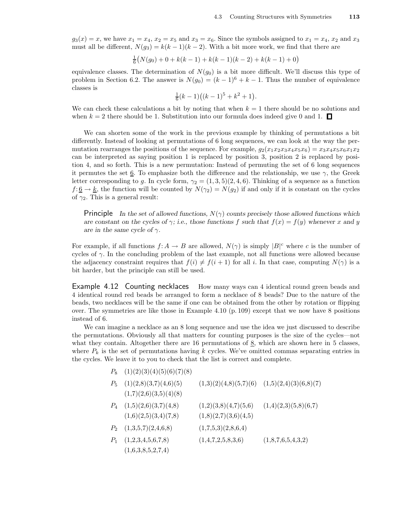$g_3(x) = x$ , we have  $x_1 = x_4$ ,  $x_2 = x_5$  and  $x_3 = x_6$ . Since the symbols assigned to  $x_1 = x_4$ ,  $x_2$  and  $x_3$ must all be different,  $N(g_3) = k(k-1)(k-2)$ . With a bit more work, we find that there are

$$
\frac{1}{6}(N(g_0) + 0 + k(k-1) + k(k-1)(k-2) + k(k-1) + 0)
$$

equivalence classes. The determination of  $N(g_0)$  is a bit more difficult. We'll discuss this type of problem in Section 6.2. The answer is  $N(g_0) = (k-1)^6 + k - 1$ . Thus the number of equivalence classes is

$$
\frac{1}{6}(k-1)((k-1)^5 + k^2 + 1).
$$

We can check these calculations a bit by noting that when  $k = 1$  there should be no solutions and when  $k = 2$  there should be 1. Substitution into our formula does indeed give 0 and 1.  $\Box$ 

We can shorten some of the work in the previous example by thinking of permutations a bit differently. Instead of looking at permutations of 6 long sequences, we can look at the way the permutation rearranges the positions of the sequence. For example,  $g_2(x_1x_2x_3x_4x_5x_6) = x_3x_4x_5x_6x_1x_2$ can be interpreted as saying position 1 is replaced by position 3, position 2 is replaced by position 4, and so forth. This is a new permutation: Instead of permuting the set of 6 long sequences it permutes the set 6. To emphasize both the difference and the relationship, we use  $\gamma$ , the Greek letter corresponding to g. In cycle form,  $\gamma_2 = (1, 3, 5)(2, 4, 6)$ . Thinking of a sequence as a function  $f: \underline{6} \to \underline{k}$ , the function will be counted by  $N(\gamma_2) = N(g_2)$  if and only if it is constant on the cycles of  $\gamma_2$ . This is a general result:

**Principle** In the set of allowed functions,  $N(\gamma)$  counts precisely those allowed functions which are constant on the cycles of  $\gamma$ ; i.e., those functions f such that  $f(x) = f(y)$  whenever x and y are in the same cycle of  $\gamma$ .

For example, if all functions  $f: A \to B$  are allowed,  $N(\gamma)$  is simply  $|B|^c$  where c is the number of cycles of  $\gamma$ . In the concluding problem of the last example, not all functions were allowed because the adjacency constraint requires that  $f(i) \neq f(i + 1)$  for all i. In that case, computing  $N(\gamma)$  is a bit harder, but the principle can still be used.

Example 4.12 Counting necklaces How many ways can 4 identical round green beads and 4 identical round red beads be arranged to form a necklace of 8 beads? Due to the nature of the beads, two necklaces will be the same if one can be obtained from the other by rotation or flipping over. The symmetries are like those in Example 4.10 (p. 109) except that we now have 8 positions instead of 6.

We can imagine a necklace as an 8 long sequence and use the idea we just discussed to describe the permutations. Obviously all that matters for counting purposes is the size of the cycles—not what they contain. Altogether there are  $16$  permutations of  $8$ , which are shown here in 5 classes, where  $P_k$  is the set of permutations having k cycles. We've omitted commas separating entries in the cycles. We leave it to you to check that the list is correct and complete.

|       | $P_8$ $(1)(2)(3)(4)(5)(6)(7)(8)$ |                      |                                                 |
|-------|----------------------------------|----------------------|-------------------------------------------------|
| $P_5$ | (1)(2,8)(3,7)(4,6)(5)            |                      | $(1,3)(2)(4,8)(5,7)(6)$ $(1,5)(2,4)(3)(6,8)(7)$ |
|       | (1,7)(2,6)(3,5)(4)(8)            |                      |                                                 |
| $P_4$ | (1,5)(2,6)(3,7)(4,8)             | (1,2)(3,8)(4,7)(5,6) | (1,4)(2,3)(5,8)(6,7)                            |
|       | (1,6)(2,5)(3,4)(7,8)             | (1,8)(2,7)(3,6)(4,5) |                                                 |
| $P_2$ | (1,3,5,7)(2,4,6,8)               | (1,7,5,3)(2,8,6,4)   |                                                 |
| $P_1$ | (1,2,3,4,5,6,7,8)                | (1,4,7,2,5,8,3,6)    | (1,8,7,6,5,4,3,2)                               |
|       | (1,6,3,8,5,2,7,4)                |                      |                                                 |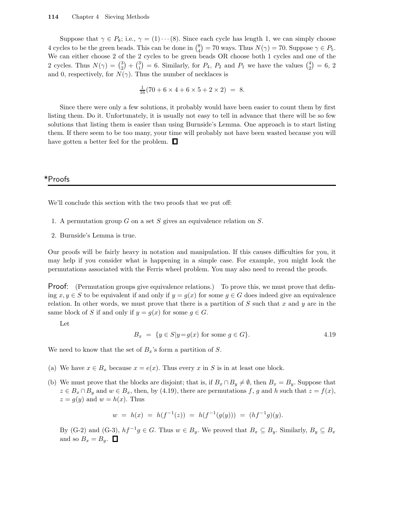Suppose that  $\gamma \in P_8$ ; i.e.,  $\gamma = (1) \cdots (8)$ . Since each cycle has length 1, we can simply choose 4 cycles to be the green beads. This can be done in  $\binom{8}{4} = 70$  ways. Thus  $N(\gamma) = 70$ . Suppose  $\gamma \in P_5$ . We can either choose 2 of the 2 cycles to be green beads OR choose both 1 cycles and one of the 2 cycles. Thus  $N(\gamma) = \binom{3}{2} + \binom{3}{1} = 6$ . Similarly, for  $P_4$ ,  $P_2$  and  $P_1$  we have the values  $\binom{4}{2} = 6, 2$ and 0, respectively, for  $N(\gamma)$ . Thus the number of necklaces is

$$
\frac{1}{16}(70 + 6 \times 4 + 6 \times 5 + 2 \times 2) = 8.
$$

Since there were only a few solutions, it probably would have been easier to count them by first listing them. Do it. Unfortunately, it is usually not easy to tell in advance that there will be so few solutions that listing them is easier than using Burnside's Lemma. One approach is to start listing them. If there seem to be too many, your time will probably not have been wasted because you will have gotten a better feel for the problem.  $\Box$ 

#### \*Proofs

We'll conclude this section with the two proofs that we put off:

- 1. A permutation group  $G$  on a set  $S$  gives an equivalence relation on  $S$ .
- 2. Burnside's Lemma is true.

Our proofs will be fairly heavy in notation and manipulation. If this causes difficulties for you, it may help if you consider what is happening in a simple case. For example, you might look the permutations associated with the Ferris wheel problem. You may also need to reread the proofs.

Proof: (Permutation groups give equivalence relations.) To prove this, we must prove that defining  $x, y \in S$  to be equivalent if and only if  $y = q(x)$  for some  $q \in G$  does indeed give an equivalence relation. In other words, we must prove that there is a partition of  $S$  such that  $x$  and  $y$  are in the same block of S if and only if  $y = g(x)$  for some  $g \in G$ .

Let

$$
B_x = \{ y \in S | y = g(x) \text{ for some } g \in G \}. \tag{4.19}
$$

We need to know that the set of  $B_x$ 's form a partition of S.

- (a) We have  $x \in B_x$  because  $x = e(x)$ . Thus every x in S is in at least one block.
- (b) We must prove that the blocks are disjoint; that is, if  $B_x \cap B_y \neq \emptyset$ , then  $B_x = B_y$ . Suppose that  $z \in B_x \cap B_y$  and  $w \in B_x$ , then, by (4.19), there are permutations f, g and h such that  $z = f(x)$ ,  $z = g(y)$  and  $w = h(x)$ . Thus

$$
w = h(x) = h(f^{-1}(z)) = h(f^{-1}(g(y))) = (hf^{-1}g)(y).
$$

By (G-2) and (G-3),  $hf^{-1}g \in G$ . Thus  $w \in B_y$ . We proved that  $B_x \subseteq B_y$ . Similarly,  $B_y \subseteq B_x$ and so  $B_x = B_y$ .  $\Box$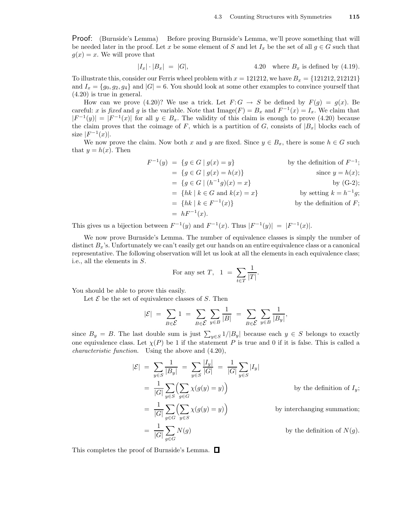Proof: (Burnside's Lemma) Before proving Burnside's Lemma, we'll prove something that will be needed later in the proof. Let x be some element of S and let  $I_x$  be the set of all  $g \in G$  such that  $g(x) = x$ . We will prove that

$$
|I_x| \cdot |B_x| = |G|,
$$
 4.20 where  $B_x$  is defined by (4.19).

To illustrate this, consider our Ferris wheel problem with  $x = 121212$ , we have  $B_x = \{121212, 212121\}$ and  $I_x = \{g_0, g_2, g_4\}$  and  $|G| = 6$ . You should look at some other examples to convince yourself that (4.20) is true in general.

How can we prove (4.20)? We use a trick. Let  $F: G \to S$  be defined by  $F(g) = g(x)$ . Be careful: x is fixed and g is the variable. Note that  $\text{Image}(F) = B_x$  and  $F^{-1}(x) = I_x$ . We claim that  $|F^{-1}(y)| = |F^{-1}(x)|$  for all  $y \in B_x$ . The validity of this claim is enough to prove (4.20) because the claim proves that the coimage of F, which is a partition of G, consists of  $|B_x|$  blocks each of size  $|F^{-1}(x)|$ .

We now prove the claim. Now both x and y are fixed. Since  $y \in B_x$ , there is some  $h \in G$  such that  $y = h(x)$ . Then

$$
F^{-1}(y) = \{g \in G \mid g(x) = y\}
$$
 by the definition of  $F^{-1}$ ;  
\n
$$
= \{g \in G \mid g(x) = h(x)\}
$$
 since  $y = h(x)$ ;  
\n
$$
= \{g \in G \mid (h^{-1}g)(x) = x\}
$$
 by (G-2);  
\n
$$
= \{hk \mid k \in G \text{ and } k(x) = x\}
$$
 by setting  $k = h^{-1}g$ ;  
\n
$$
= \{hk \mid k \in F^{-1}(x)\}
$$
 by the definition of  $F$ ;  
\n
$$
= hF^{-1}(x).
$$

This gives us a bijection between  $F^{-1}(y)$  and  $F^{-1}(x)$ . Thus  $|F^{-1}(y)| = |F^{-1}(x)|$ .

We now prove Burnside's Lemma. The number of equivalence classes is simply the number of distinct  $B_x$ 's. Unfortunately we can't easily get our hands on an entire equivalence class or a canonical representative. The following observation will let us look at all the elements in each equivalence class; i.e., all the elements in S.

For any set 
$$
T
$$
,  $1 = \sum_{t \in T} \frac{1}{|T|}$ .

You should be able to prove this easily.

Let  $\mathcal E$  be the set of equivalence classes of S. Then

$$
|\mathcal{E}| = \sum_{B \in \mathcal{E}} 1 = \sum_{B \in \mathcal{E}} \sum_{y \in B} \frac{1}{|B|} = \sum_{B \in \mathcal{E}} \sum_{y \in B} \frac{1}{|B_y|},
$$

since  $B_y = B$ . The last double sum is just  $\sum_{y \in S} 1/|B_y|$  because each  $y \in S$  belongs to exactly one equivalence class. Let  $\chi(P)$  be 1 if the statement P is true and 0 if it is false. This is called a characteristic function. Using the above and (4.20),

$$
|\mathcal{E}| = \sum_{y \in S} \frac{1}{|B_y|} = \sum_{y \in S} \frac{|I_y|}{|G|} = \frac{1}{|G|} \sum_{y \in S} |I_y|
$$
  
\n
$$
= \frac{1}{|G|} \sum_{y \in S} (\sum_{g \in G} \chi(g(y) = y))
$$
 by the definition of  $I_y$ ;  
\n
$$
= \frac{1}{|G|} \sum_{g \in G} (\sum_{y \in S} \chi(g(y) = y))
$$
 by interchanging summation;  
\n
$$
= \frac{1}{|G|} \sum_{g \in G} N(g)
$$
 by the definition of  $N(g)$ .

This completes the proof of Burnside's Lemma.  $\Box$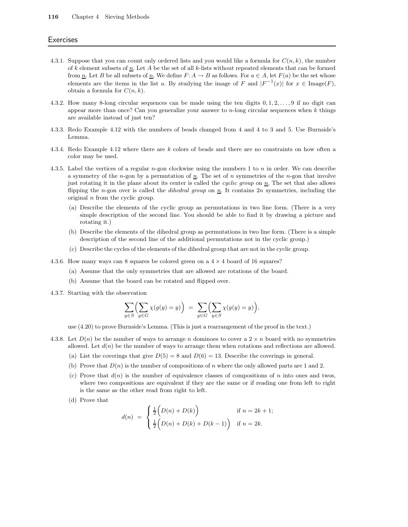#### **Exercises**

- 4.3.1. Suppose that you can count only ordered lists and you would like a formula for  $C(n, k)$ , the number of k element subsets of  $n$ . Let A be the set of all k-lists without repeated elements that can be formed from  $\underline{n}$ . Let B be all subsets of  $\underline{n}$ . We define  $F: A \to B$  as follows. For  $a \in A$ , let  $F(a)$  be the set whose elements are the items in the list a. By studying the image of F and  $|F^{-1}(x)|$  for  $x \in \text{Image}(F)$ , obtain a formula for  $C(n, k)$ .
- 4.3.2. How many 8-long circular sequences can be made using the ten digits 0, 1, 2, . . . , 9 if no digit can appear more than once? Can you generalize your answer to  $n$ -long circular sequences when  $k$  things are available instead of just ten?
- 4.3.3. Redo Example 4.12 with the numbers of beads changed from 4 and 4 to 3 and 5. Use Burnside's Lemma.
- 4.3.4. Redo Example 4.12 where there are k colors of beads and there are no constraints on how often a color may be used.
- 4.3.5. Label the vertices of a regular n-gon clockwise using the numbers 1 to n in order. We can describe a symmetry of the *n*-gon by a permutation of  $\underline{n}$ . The set of *n* symmetries of the *n*-gon that involve just rotating it in the plane about its center is called the *cyclic group* on  $\underline{n}$ . The set that also allows flipping the n-gon over is called the *dihedral group* on  $\underline{n}$ . It contains 2n symmetries, including the original n from the cyclic group.
	- (a) Describe the elements of the cyclic group as permutations in two line form. (There is a very simple description of the second line. You should be able to find it by drawing a picture and rotating it.)
	- (b) Describe the elements of the dihedral group as permutations in two line form. (There is a simple description of the second line of the additional permutations not in the cyclic group.)
	- (c) Describe the cycles of the elements of the dihedral group that are not in the cyclic group.
- 4.3.6. How many ways can 8 squares be colored green on a  $4 \times 4$  board of 16 squares?
	- (a) Assume that the only symmetries that are allowed are rotations of the board.
	- (b) Assume that the board can be rotated and flipped over.
- 4.3.7. Starting with the observation

$$
\sum_{y \in S} \Bigl( \sum_{g \in G} \chi(g(y) = y) \Bigr) \ = \ \sum_{g \in G} \Bigl( \sum_{y \in S} \chi(g(y) = y) \Bigr),
$$

use (4.20) to prove Burnside's Lemma. (This is just a rearrangement of the proof in the text.)

- 4.3.8. Let  $D(n)$  be the number of ways to arrange n dominoes to cover a  $2 \times n$  board with no symmetries allowed. Let  $d(n)$  be the number of ways to arrange them when rotations and reflections are allowed.
	- (a) List the coverings that give  $D(5) = 8$  and  $D(6) = 13$ . Describe the coverings in general.
	- (b) Prove that  $D(n)$  is the number of compositions of n where the only allowed parts are 1 and 2.
	- (c) Prove that  $d(n)$  is the number of equivalence classes of compositions of n into ones and twos, where two compositions are equivalent if they are the same or if reading one from left to right is the same as the other read from right to left.
	- (d) Prove that

$$
d(n) = \begin{cases} \frac{1}{2} (D(n) + D(k)) & \text{if } n = 2k + 1; \\ \frac{1}{2} (D(n) + D(k) + D(k-1)) & \text{if } n = 2k. \end{cases}
$$